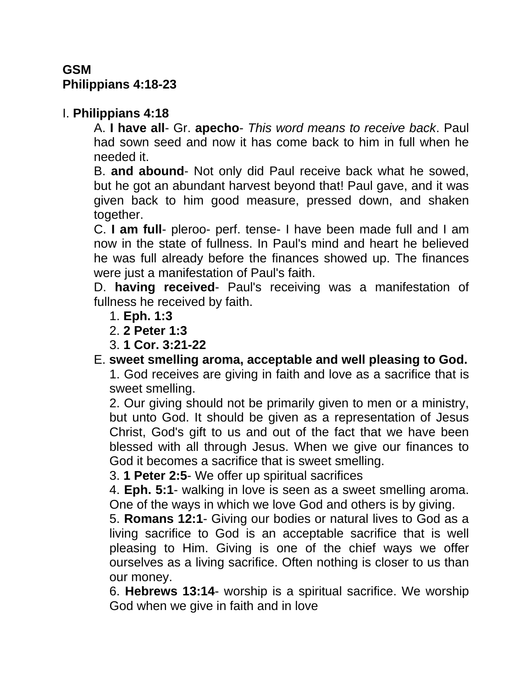# **GSM Philippians 4:18-23**

## I. **Philippians 4:18**

A. **I have all**- Gr. **apecho**- *This word means to receive back*. Paul had sown seed and now it has come back to him in full when he needed it.

B. **and abound**- Not only did Paul receive back what he sowed, but he got an abundant harvest beyond that! Paul gave, and it was given back to him good measure, pressed down, and shaken together.

C. **I am full**- pleroo- perf. tense- I have been made full and I am now in the state of fullness. In Paul's mind and heart he believed he was full already before the finances showed up. The finances were just a manifestation of Paul's faith.

D. **having received**- Paul's receiving was a manifestation of fullness he received by faith.

- 1. **Eph. 1:3**
- 2. **2 Peter 1:3**
- 3. **1 Cor. 3:21-22**

# E. **sweet smelling aroma, acceptable and well pleasing to God.**

1. God receives are giving in faith and love as a sacrifice that is sweet smelling.

2. Our giving should not be primarily given to men or a ministry, but unto God. It should be given as a representation of Jesus Christ, God's gift to us and out of the fact that we have been blessed with all through Jesus. When we give our finances to God it becomes a sacrifice that is sweet smelling.

3. **1 Peter 2:5**- We offer up spiritual sacrifices

4. **Eph. 5:1**- walking in love is seen as a sweet smelling aroma. One of the ways in which we love God and others is by giving.

5. **Romans 12:1**- Giving our bodies or natural lives to God as a living sacrifice to God is an acceptable sacrifice that is well pleasing to Him. Giving is one of the chief ways we offer ourselves as a living sacrifice. Often nothing is closer to us than our money.

6. **Hebrews 13:14**- worship is a spiritual sacrifice. We worship God when we give in faith and in love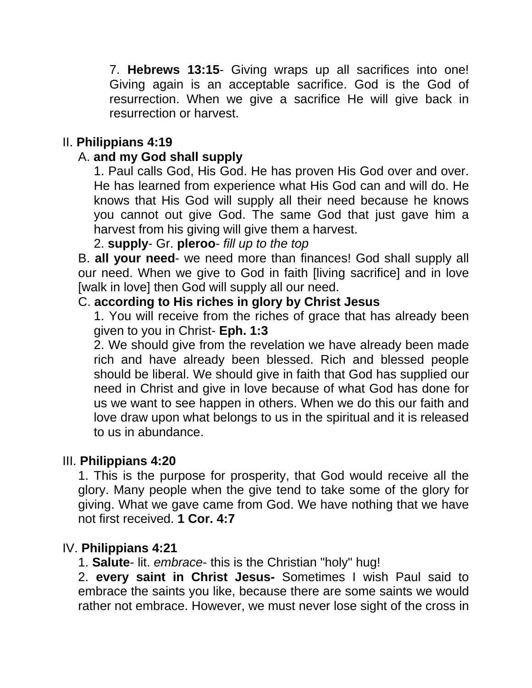7. **Hebrews 13:15**- Giving wraps up all sacrifices into one! Giving again is an acceptable sacrifice. God is the God of resurrection. When we give a sacrifice He will give back in resurrection or harvest.

# II. **Philippians 4:19**

## A. **and my God shall supply**

1. Paul calls God, His God. He has proven His God over and over. He has learned from experience what His God can and will do. He knows that His God will supply all their need because he knows you cannot out give God. The same God that just gave him a harvest from his giving will give them a harvest.

2. **supply**- Gr. **pleroo**- *fill up to the top*

B. **all your need**- we need more than finances! God shall supply all our need. When we give to God in faith [living sacrifice] and in love [walk in love] then God will supply all our need.

### C. **according to His riches in glory by Christ Jesus**

1. You will receive from the riches of grace that has already been given to you in Christ- **Eph. 1:3**

2. We should give from the revelation we have already been made rich and have already been blessed. Rich and blessed people should be liberal. We should give in faith that God has supplied our need in Christ and give in love because of what God has done for us we want to see happen in others. When we do this our faith and love draw upon what belongs to us in the spiritual and it is released to us in abundance.

### III. **Philippians 4:20**

1. This is the purpose for prosperity, that God would receive all the glory. Many people when the give tend to take some of the glory for giving. What we gave came from God. We have nothing that we have not first received. **1 Cor. 4:7**

### IV. **Philippians 4:21**

1. **Salute**- lit. *embrace*- this is the Christian "holy" hug!

2. **every saint in Christ Jesus-** Sometimes I wish Paul said to embrace the saints you like, because there are some saints we would rather not embrace. However, we must never lose sight of the cross in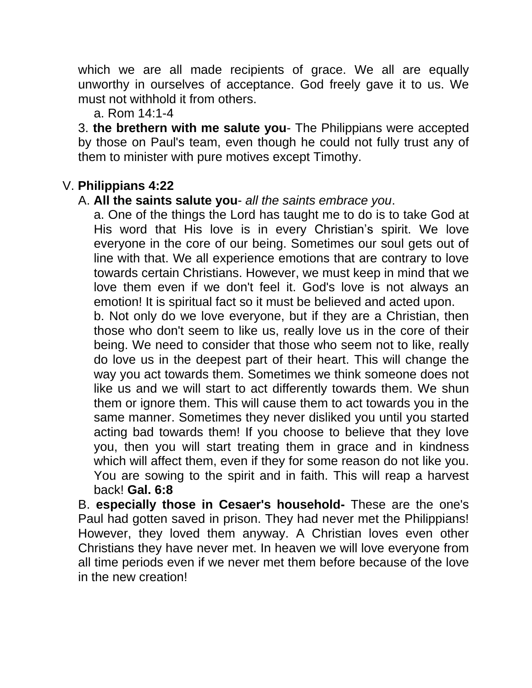which we are all made recipients of grace. We all are equally unworthy in ourselves of acceptance. God freely gave it to us. We must not withhold it from others.

a. Rom 14:1-4

3. **the brethern with me salute you**- The Philippians were accepted by those on Paul's team, even though he could not fully trust any of them to minister with pure motives except Timothy.

## V. **Philippians 4:22**

#### A. **All the saints salute you**- *all the saints embrace you*.

a. One of the things the Lord has taught me to do is to take God at His word that His love is in every Christian's spirit. We love everyone in the core of our being. Sometimes our soul gets out of line with that. We all experience emotions that are contrary to love towards certain Christians. However, we must keep in mind that we love them even if we don't feel it. God's love is not always an emotion! It is spiritual fact so it must be believed and acted upon.

b. Not only do we love everyone, but if they are a Christian, then those who don't seem to like us, really love us in the core of their being. We need to consider that those who seem not to like, really do love us in the deepest part of their heart. This will change the way you act towards them. Sometimes we think someone does not like us and we will start to act differently towards them. We shun them or ignore them. This will cause them to act towards you in the same manner. Sometimes they never disliked you until you started acting bad towards them! If you choose to believe that they love you, then you will start treating them in grace and in kindness which will affect them, even if they for some reason do not like you. You are sowing to the spirit and in faith. This will reap a harvest back! **Gal. 6:8**

B. **especially those in Cesaer's household-** These are the one's Paul had gotten saved in prison. They had never met the Philippians! However, they loved them anyway. A Christian loves even other Christians they have never met. In heaven we will love everyone from all time periods even if we never met them before because of the love in the new creation!